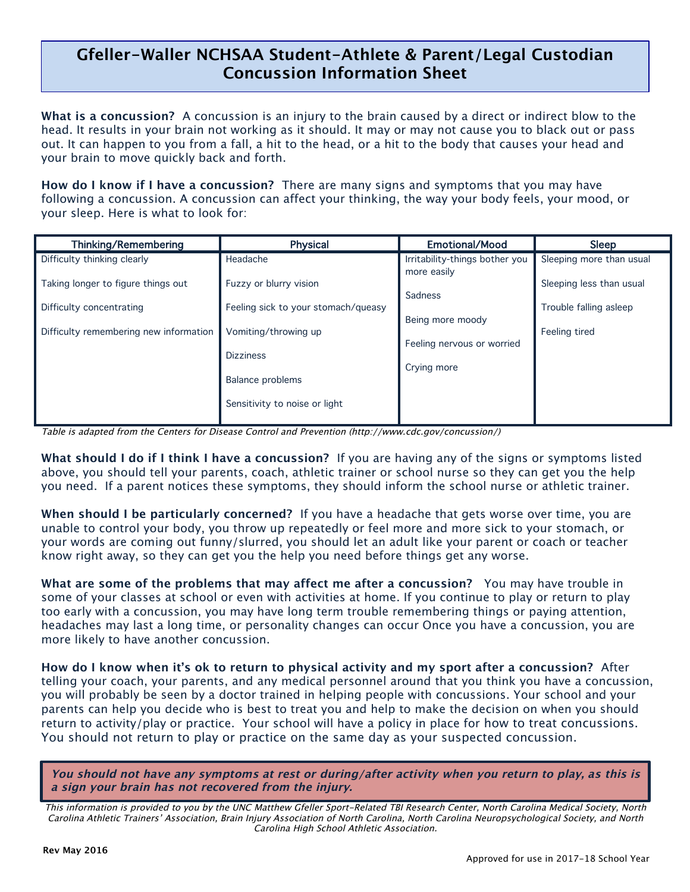## **Gfeller-Waller NCHSAA Student-Athlete & Parent/Legal Custodian Concussion Information Sheet**

l,

**What is a concussion?** A concussion is an injury to the brain caused by a direct or indirect blow to the head. It results in your brain not working as it should. It may or may not cause you to black out or pass out. It can happen to you from a fall, a hit to the head, or a hit to the body that causes your head and your brain to move quickly back and forth.

**How do I know if I have a concussion?** There are many signs and symptoms that you may have following a concussion. A concussion can affect your thinking, the way your body feels, your mood, or your sleep. Here is what to look for:

| <b>Thinking/Remembering</b>                                    | <b>Physical</b>                                               | <b>Emotional/Mood</b>                          | Sleep                                              |
|----------------------------------------------------------------|---------------------------------------------------------------|------------------------------------------------|----------------------------------------------------|
| Difficulty thinking clearly                                    | Headache                                                      | Irritability-things bother you                 | Sleeping more than usual                           |
| Taking longer to figure things out<br>Difficulty concentrating | Fuzzy or blurry vision<br>Feeling sick to your stomach/queasy | more easily<br>Sadness                         | Sleeping less than usual<br>Trouble falling asleep |
| Difficulty remembering new information                         | Vomiting/throwing up                                          | Being more moody<br>Feeling nervous or worried | Feeling tired                                      |
|                                                                | <b>Dizziness</b><br><b>Balance problems</b>                   | Crying more                                    |                                                    |
|                                                                | Sensitivity to noise or light                                 |                                                |                                                    |

Table is adapted from the Centers for Disease Control and Prevention (http://www.cdc.gov/concussion/)

**What should I do if I think I have a concussion?** If you are having any of the signs or symptoms listed above, you should tell your parents, coach, athletic trainer or school nurse so they can get you the help you need. If a parent notices these symptoms, they should inform the school nurse or athletic trainer.

**When should I be particularly concerned?** If you have a headache that gets worse over time, you are unable to control your body, you throw up repeatedly or feel more and more sick to your stomach, or your words are coming out funny/slurred, you should let an adult like your parent or coach or teacher know right away, so they can get you the help you need before things get any worse.

**What are some of the problems that may affect me after a concussion?** You may have trouble in some of your classes at school or even with activities at home. If you continue to play or return to play too early with a concussion, you may have long term trouble remembering things or paying attention, headaches may last a long time, or personality changes can occur Once you have a concussion, you are more likely to have another concussion.

**How do I know when it's ok to return to physical activity and my sport after a concussion?** After telling your coach, your parents, and any medical personnel around that you think you have a concussion, you will probably be seen by a doctor trained in helping people with concussions. Your school and your parents can help you decide who is best to treat you and help to make the decision on when you should return to activity/play or practice. Your school will have a policy in place for how to treat concussions. You should not return to play or practice on the same day as your suspected concussion.

**You should not have any symptoms at rest or during/after activity when you return to play, as this is a sign your brain has not recovered from the injury.**

This information is provided to you by the UNC Matthew Gfeller Sport-Related TBI Research Center, North Carolina Medical Society, North Carolina Athletic Trainers' Association, Brain Injury Association of North Carolina, North Carolina Neuropsychological Society, and North Carolina High School Athletic Association.